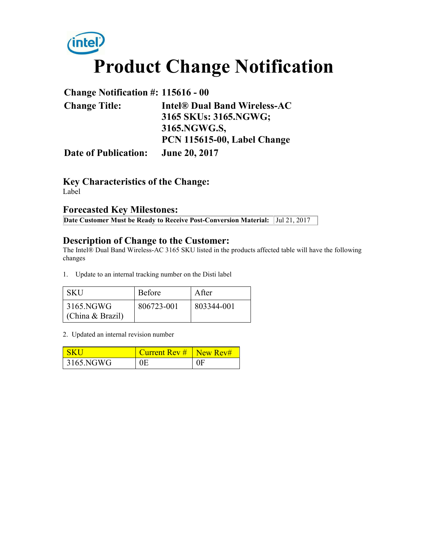

## **Change Notification #: 115616 - 00 Change Title: Intel® Dual Band Wireless-AC 3165 SKUs: 3165.NGWG; 3165.NGWG.S, PCN 115615-00, Label Change Date of Publication: June 20, 2017**

**Key Characteristics of the Change:** Label

#### **Forecasted Key Milestones:**

**Date Customer Must be Ready to Receive Post-Conversion Material:** Jul 21, 2017

#### **Description of Change to the Customer:**

The Intel® Dual Band Wireless-AC 3165 SKU listed in the products affected table will have the following changes

1. Update to an internal tracking number on the Disti label

| <b>SKU</b>                    | <b>Before</b> | A fter     |
|-------------------------------|---------------|------------|
| 3165.NGWG<br>(China & Brazil) | 806723-001    | 803344-001 |

#### 2. Updated an internal revision number

| <u>I SK L</u> | Current Rev $#$ New Rev# |                |
|---------------|--------------------------|----------------|
| 3165.NGWG     | 0E                       | 0 <sup>F</sup> |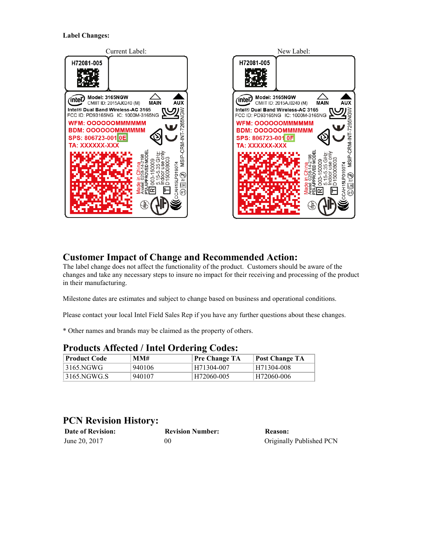

#### **Customer Impact of Change and Recommended Action:**

The label change does not affect the functionality of the product. Customers should be aware of the changes and take any necessary steps to insure no impact for their receiving and processing of the product in their manufacturing.

Milestone dates are estimates and subject to change based on business and operational conditions.

Please contact your local Intel Field Sales Rep if you have any further questions about these changes.

\* Other names and brands may be claimed as the property of others.

| ⊩Product Code | MM#    | Trouders Ameeted / Then Ordering Coucs.<br>Pre Change TA | <b>Post Change TA</b> |
|---------------|--------|----------------------------------------------------------|-----------------------|
| 3165.NGWG     | 940106 | H71304-007                                               | H71304-008            |
| 3165.NGWG.S   | 940107 | H72060-005                                               | H72060-006            |

#### **Products Affected / Intel Ordering Codes:**

### **PCN Revision History:**

| <b>Date of Revision:</b> | <b>Revision Number:</b> | Reason:                  |
|--------------------------|-------------------------|--------------------------|
| June 20, 2017            | 00                      | Originally Published PCN |